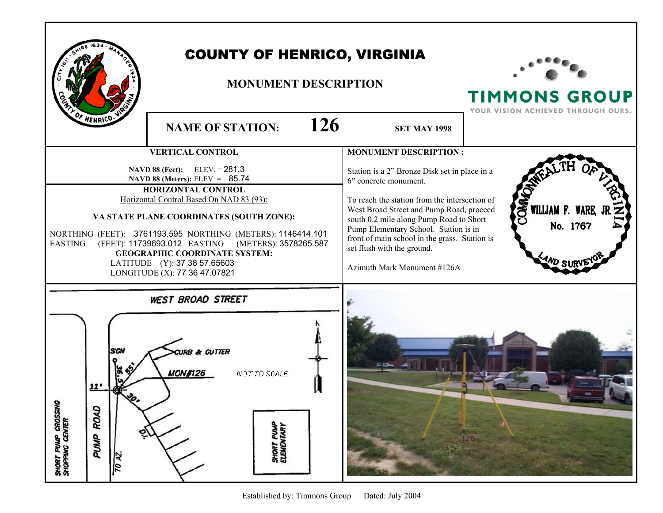| <b>COUNTY OF HENRICO, VIRGINIA</b><br><b>MONUMENT DESCRIPTION</b><br>OF HENRICO.<br>126<br><b>NAME OF STATION:</b><br><b>SET MAY 1998</b> |                                                                                                                                                                                                                                                                                                                                                                                                                                                           |                                                                                                                                                                                                                                                                                                                                                                                                       | <b>TIMMONS GROUP</b><br>YOUR VISION ACHIEVED THROUGH OURS. |
|-------------------------------------------------------------------------------------------------------------------------------------------|-----------------------------------------------------------------------------------------------------------------------------------------------------------------------------------------------------------------------------------------------------------------------------------------------------------------------------------------------------------------------------------------------------------------------------------------------------------|-------------------------------------------------------------------------------------------------------------------------------------------------------------------------------------------------------------------------------------------------------------------------------------------------------------------------------------------------------------------------------------------------------|------------------------------------------------------------|
| <b>EASTING</b>                                                                                                                            | <b>VERTICAL CONTROL</b><br>$ELEV = 281.3$<br><b>NAVD 88 (Feet):</b><br>NAVD 88 (Meters): ELEV. = 85.74<br><b>HORIZONTAL CONTROL</b><br>Horizontal Control Based On NAD 83 (93):<br>VA STATE PLANE COORDINATES (SOUTH ZONE):<br>NORTHING (FEET): 3761193.595 NORTHING (METERS): 1146414.101<br>(FEET): 11739693.012 EASTING (METERS): 3578265.587<br><b>GEOGRAPHIC COORDINATE SYSTEM:</b><br>LATITUDE (Y): 37 38 57.65603<br>LONGITUDE (X): 77 36 47.07821 | <b>MONUMENT DESCRIPTION:</b><br>Station is a 2" Bronze Disk set in place in a<br>6" concrete monument.<br>To reach the station from the intersection of<br>West Broad Street and Pump Road, proceed<br>south 0.2 mile along Pump Road to Short<br>Pump Elementary School. Station is in<br>front of main school in the grass. Station is<br>set flush with the ground.<br>Azimuth Mark Monument #126A | OMA<br>WILLIAM F. WARE,<br>No. 1767                        |
| SHORT PUMP CROSSING<br>SHOPPING CENTER<br>ROAD<br>PUMP<br>70 AZ.                                                                          | <b>WEST BROAD STREET</b><br>& GUTTER<br><b>MON#126</b><br>NOT TO SCALE<br><b>SHORT PUMP</b><br>ELEMENTARY                                                                                                                                                                                                                                                                                                                                                 |                                                                                                                                                                                                                                                                                                                                                                                                       | 126                                                        |